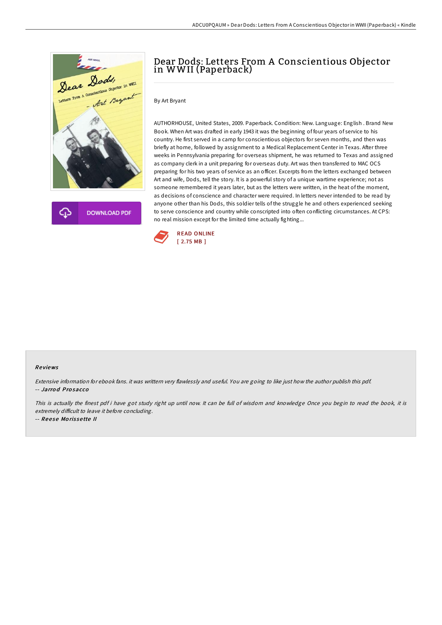

**DOWNLOAD PDF** 

# Dear Dods: Letters From A Conscientious Objector in WWII (Paperback)

### By Art Bryant

AUTHORHOUSE, United States, 2009. Paperback. Condition: New. Language: English . Brand New Book. When Art was drafted in early 1943 it was the beginning of four years of service to his country. He first served in a camp for conscientious objectors for seven months, and then was briefly at home, followed by assignment to a Medical Replacement Center in Texas. After three weeks in Pennsylvania preparing for overseas shipment, he was returned to Texas and assigned as company clerk in a unit preparing for overseas duty. Art was then transferred to MAC OCS preparing for his two years of service as an officer. Excerpts from the letters exchanged between Art and wife, Dods, tell the story. It is a powerful story of a unique wartime experience; not as someone remembered it years later, but as the letters were written, in the heat of the moment, as decisions of conscience and character were required. In letters never intended to be read by anyone other than his Dods, this soldier tells of the struggle he and others experienced seeking to serve conscience and country while conscripted into often conflicting circumstances. At CPS: no real mission except for the limited time actually fighting...



#### Re views

Extensive information for ebook fans. it was writtern very flawlessly and useful. You are going to like just how the author publish this pdf. -- Jarro d Pro sacco

This is actually the finest pdf i have got study right up until now. It can be full of wisdom and knowledge Once you begin to read the book, it is extremely difficult to leave it before concluding.

-- Reese Morissette II